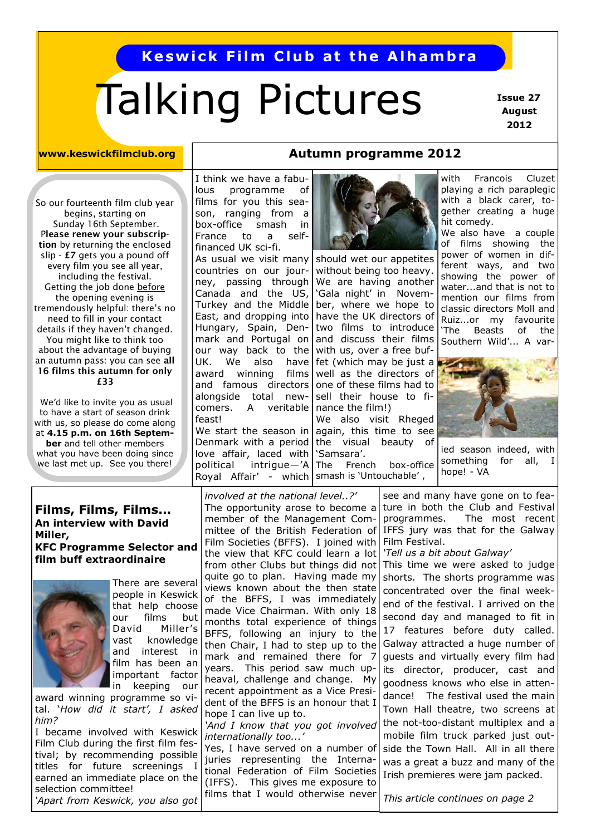## **Keswick Film Club at the Alhambra**

# Talking Pictures

 **Issue 27 August 2012**

### **www.keswickfilmclub.org**

So our fourteenth film club year begins, starting on Sunday 16th September. P**lease renew your subscription** by returning the enclosed slip - **£7** gets you a pound off every film you see all year, including the festival. Getting the job done before the opening evening is tremendously helpful: there's no need to fill in your contact details if they haven't changed. You might like to think too about the advantage of buying an autumn pass: you can see **all 16 films this autumn for only £33**

We'd like to invite you as usual to have a start of season drink with us, so please do come along at **4.15 p.m. on 16th September** and tell other members what you have been doing since we last met up. See you there!

## I think we have a fabulous programme of films for you this season, ranging from a box-office smash in France to a self-

political intrigue—'A|The French box-office financed UK sci-fi. As usual we visit many countries on our journey, passing through Canada and the US, Turkey and the Middle East, and dropping into Hungary, Spain, Denmark and Portugal on our way back to the UK. We also have award winning films and famous directors alongside total newcomers. A veritable feast! We start the season in Denmark with a period love affair, laced with

**Autumn programme 2012**

should wet our appetites without being too heavy. We are having another 'Gala night' in November, where we hope to have the UK directors of two films to introduce and discuss their films with us, over a free buffet (which may be just a well as the directors of one of these films had to sell their house to finance the film!)

We also visit Rheged again, this time to see the visual beauty of 'Samsara'.

Royal Affair' - which | smash is 'Untouchable',

with Francois Cluzet playing a rich paraplegic with a black carer, together creating a huge hit comedy.

We also have a couple of films showing the power of women in different ways, and two showing the power of water...and that is not to mention our films from classic directors Moll and Ruiz...or my favourite 'The Beasts of the Southern Wild'... A var-



ied season indeed, with something for all, I hope! - VA

## **Films, Films, Films... An interview with David Miller, KFC Programme Selector and film buff extraordinaire**



There are several people in Keswick that help choose our films but David Miller's vast knowledge and interest in film has been an important factor in keeping our

award winning programme so vital. '*How did it start', I asked him?*

I became involved with Keswick Film Club during the first film festival; by recommending possible titles for future screenings I earned an immediate place on the selection committee! *'Apart from Keswick, you also got* 

*involved at the national level..?'* The opportunity arose to become a member of the Management Committee of the British Federation of Film Societies (BFFS). I joined with the view that KFC could learn a lot from other Clubs but things did not quite go to plan. Having made my views known about the then state of the BFFS, I was immediately made Vice Chairman. With only 18 months total experience of things BFFS, following an injury to the then Chair, I had to step up to the mark and remained there for 7 years. This period saw much upheaval, challenge and change. My recent appointment as a Vice President of the BFFS is an honour that I hope I can live up to. *'And I know that you got involved* 

*internationally too...'*

Yes, I have served on a number of juries representing the International Federation of Film Societies (IFFS). This gives me exposure to films that I would otherwise never

see and many have gone on to feature in both the Club and Festival programmes. The most recent IFFS jury was that for the Galway Film Festival.

*'Tell us a bit about Galway'*

This time we were asked to judge shorts. The shorts programme was concentrated over the final weekend of the festival. I arrived on the second day and managed to fit in 17 features before duty called. Galway attracted a huge number of guests and virtually every film had its director, producer, cast and goodness knows who else in attendance! The festival used the main Town Hall theatre, two screens at the not-too-distant multiplex and a mobile film truck parked just outside the Town Hall. All in all there was a great a buzz and many of the Irish premieres were jam packed.

*This article continues on page 2*